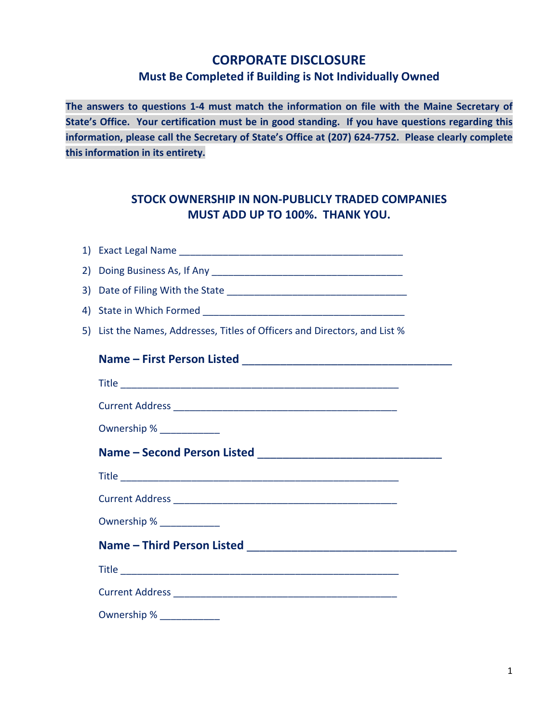## **CORPORATE DISCLOSURE Must Be Completed if Building is Not Individually Owned**

**The answers to questions 1-4 must match the information on file with the Maine Secretary of State's Office. Your certification must be in good standing. If you have questions regarding this information, please call the Secretary of State's Office at (207) 624-7752. Please clearly complete this information in its entirety.**

## **STOCK OWNERSHIP IN NON-PUBLICLY TRADED COMPANIES MUST ADD UP TO 100%. THANK YOU.**

| 5) List the Names, Addresses, Titles of Officers and Directors, and List % |  |
|----------------------------------------------------------------------------|--|
|                                                                            |  |
|                                                                            |  |
|                                                                            |  |
| Ownership % _____________                                                  |  |
|                                                                            |  |
|                                                                            |  |
|                                                                            |  |
| Ownership % ______________                                                 |  |
|                                                                            |  |
|                                                                            |  |
|                                                                            |  |
|                                                                            |  |